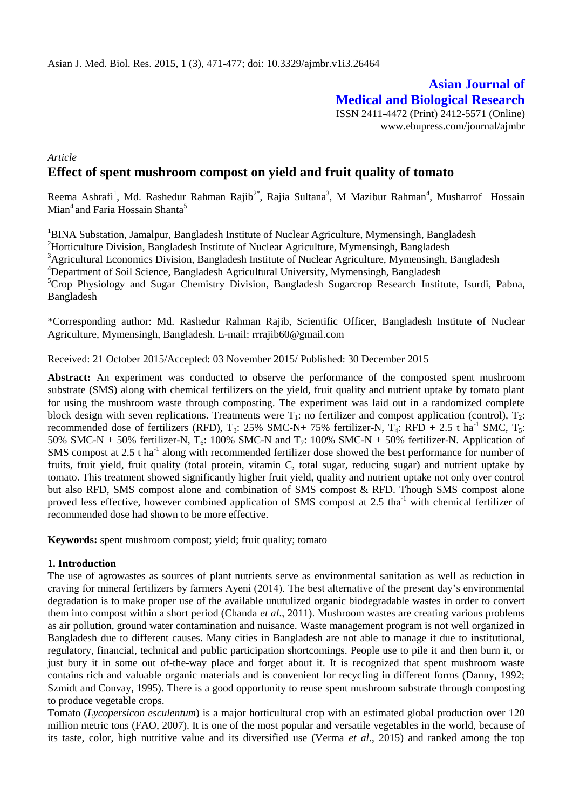# **Asian Journal of Medical and Biological Research**

ISSN 2411-4472 (Print) 2412-5571 (Online) www.ebupress.com/journal/ajmbr

# *Article* **Effect of spent mushroom compost on yield and fruit quality of tomato**

Reema Ashrafi<sup>1</sup>, Md. Rashedur Rahman Rajib<sup>2\*</sup>, Rajia Sultana<sup>3</sup>, M Mazibur Rahman<sup>4</sup>, Musharrof Hossain Mian<sup>4</sup> and Faria Hossain Shanta<sup>5</sup>

<sup>1</sup>BINA Substation, Jamalpur, Bangladesh Institute of Nuclear Agriculture, Mymensingh, Bangladesh <sup>2</sup>Horticulture Division, Bangladesh Institute of Nuclear Agriculture, Mymensingh, Bangladesh <sup>3</sup>Agricultural Economics Division, Bangladesh Institute of Nuclear Agriculture, Mymensingh, Bangladesh <sup>4</sup>Department of Soil Science, Bangladesh Agricultural University, Mymensingh, Bangladesh  ${}^{5}$ Crop Physiology and Sugar Chemistry Division, Bangladesh Sugarcrop Research Institute, Isurdi, Pabna, Bangladesh

\*Corresponding author: Md. Rashedur Rahman Rajib, Scientific Officer, Bangladesh Institute of Nuclear Agriculture, Mymensingh, Bangladesh. E-mail: [rrrajib60@gmail.com](mailto:rrrajib60@gmail.com)

Received: 21 October 2015/Accepted: 03 November 2015/ Published: 30 December 2015

**Abstract:** An experiment was conducted to observe the performance of the composted spent mushroom substrate (SMS) along with chemical fertilizers on the yield, fruit quality and nutrient uptake by tomato plant for using the mushroom waste through composting. The experiment was laid out in a randomized complete block design with seven replications. Treatments were  $T_1$ : no fertilizer and compost application (control),  $T_2$ : recommended dose of fertilizers (RFD),  $T_3$ : 25% SMC-N+ 75% fertilizer-N,  $T_4$ : RFD + 2.5 t ha<sup>-1</sup> SMC,  $T_5$ : 50% SMC-N + 50% fertilizer-N,  $T_6$ : 100% SMC-N and  $T_7$ : 100% SMC-N + 50% fertilizer-N. Application of SMS compost at  $2.5$  t ha<sup>-1</sup> along with recommended fertilizer dose showed the best performance for number of fruits, fruit yield, fruit quality (total protein, vitamin C, total sugar, reducing sugar) and nutrient uptake by tomato. This treatment showed significantly higher fruit yield, quality and nutrient uptake not only over control but also RFD, SMS compost alone and combination of SMS compost & RFD. Though SMS compost alone proved less effective, however combined application of SMS compost at 2.5 tha<sup>-1</sup> with chemical fertilizer of recommended dose had shown to be more effective.

**Keywords:** spent mushroom compost; yield; fruit quality; tomato

### **1. Introduction**

The use of agrowastes as sources of plant nutrients serve as environmental sanitation as well as reduction in craving for mineral fertilizers by farmers Ayeni (2014). The best alternative of the present day's environmental degradation is to make proper use of the available unutulized organic biodegradable wastes in order to convert them into compost within a short period (Chanda *et al*., 2011). Mushroom wastes are creating various problems as air pollution, ground water contamination and nuisance. Waste management program is not well organized in Bangladesh due to different causes. Many cities in Bangladesh are not able to manage it due to institutional, regulatory, financial, technical and public participation shortcomings. People use to pile it and then burn it, or just bury it in some out of-the-way place and forget about it. It is recognized that spent mushroom waste contains rich and valuable organic materials and is convenient for recycling in different forms (Danny, 1992; Szmidt and Convay, 1995). There is a good opportunity to reuse spent mushroom substrate through composting to produce vegetable crops.

Tomato (*Lycopersicon esculentum*) is a major horticultural crop with an estimated global production over 120 million metric tons (FAO, 2007). It is one of the most popular and versatile vegetables in the world, because of its taste, color, high nutritive value and its diversified use (Verma *et al*., 2015) and ranked among the top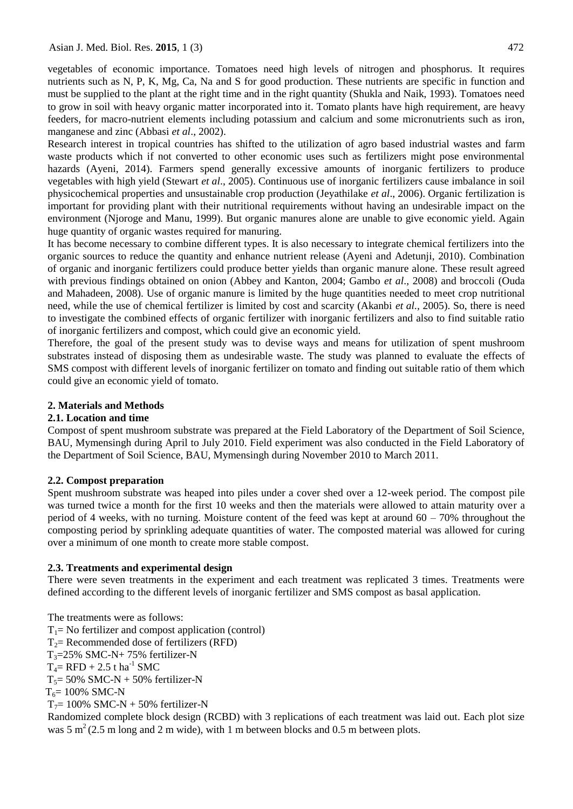vegetables of economic importance. Tomatoes need high levels of nitrogen and phosphorus. It requires nutrients such as N, P, K, Mg, Ca, Na and S for good production. These nutrients are specific in function and must be supplied to the plant at the right time and in the right quantity (Shukla and Naik, 1993). Tomatoes need to grow in soil with heavy organic matter incorporated into it. Tomato plants have high requirement, are heavy feeders, for macro-nutrient elements including potassium and calcium and some micronutrients such as iron, manganese and zinc (Abbasi *et al*., 2002).

Research interest in tropical countries has shifted to the utilization of agro based industrial wastes and farm waste products which if not converted to other economic uses such as fertilizers might pose environmental hazards (Ayeni, 2014). Farmers spend generally excessive amounts of inorganic fertilizers to produce vegetables with high yield (Stewart *et al*., 2005). Continuous use of inorganic fertilizers cause imbalance in soil physicochemical properties and unsustainable crop production (Jeyathilake *et al*., 2006). Organic fertilization is important for providing plant with their nutritional requirements without having an undesirable impact on the environment (Njoroge and Manu, 1999). But organic manures alone are unable to give economic yield. Again huge quantity of organic wastes required for manuring.

It has become necessary to combine different types. It is also necessary to integrate chemical fertilizers into the organic sources to reduce the quantity and enhance nutrient release (Ayeni and Adetunji, 2010). Combination of organic and inorganic fertilizers could produce better yields than organic manure alone. These result agreed with previous findings obtained on onion (Abbey and Kanton, 2004; Gambo *et al*., 2008) and broccoli (Ouda and Mahadeen, 2008). Use of organic manure is limited by the huge quantities needed to meet crop nutritional need, while the use of chemical fertilizer is limited by cost and scarcity (Akanbi *et al.,* 2005). So, there is need to investigate the combined effects of organic fertilizer with inorganic fertilizers and also to find suitable ratio of inorganic fertilizers and compost, which could give an economic yield.

Therefore, the goal of the present study was to devise ways and means for utilization of spent mushroom substrates instead of disposing them as undesirable waste. The study was planned to evaluate the effects of SMS compost with different levels of inorganic fertilizer on tomato and finding out suitable ratio of them which could give an economic yield of tomato.

# **2. Materials and Methods**

# **2.1. Location and time**

Compost of spent mushroom substrate was prepared at the Field Laboratory of the Department of Soil Science, BAU, Mymensingh during April to July 2010. Field experiment was also conducted in the Field Laboratory of the Department of Soil Science, BAU, Mymensingh during November 2010 to March 2011.

# **2.2. Compost preparation**

Spent mushroom substrate was heaped into piles under a cover shed over a 12-week period. The compost pile was turned twice a month for the first 10 weeks and then the materials were allowed to attain maturity over a period of 4 weeks, with no turning. Moisture content of the feed was kept at around  $60 - 70\%$  throughout the composting period by sprinkling adequate quantities of water. The composted material was allowed for curing over a minimum of one month to create more stable compost.

# **2.3. Treatments and experimental design**

There were seven treatments in the experiment and each treatment was replicated 3 times. Treatments were defined according to the different levels of inorganic fertilizer and SMS compost as basal application.

The treatments were as follows:  $T_1$ = No fertilizer and compost application (control)

- $T_2$ = Recommended dose of fertilizers (RFD)
- $T_3 = 25\%$  SMC-N+ 75% fertilizer-N

 $T_4$ = RFD + 2.5 t ha<sup>-1</sup> SMC

 $T_5$ = 50% SMC-N + 50% fertilizer-N

 $T_6 = 100\%$  SMC-N

```
T_7= 100\% SMC-N + 50% fertilizer-N
```
Randomized complete block design (RCBD) with 3 replications of each treatment was laid out. Each plot size was  $5 \text{ m}^2$  (2.5 m long and 2 m wide), with 1 m between blocks and 0.5 m between plots.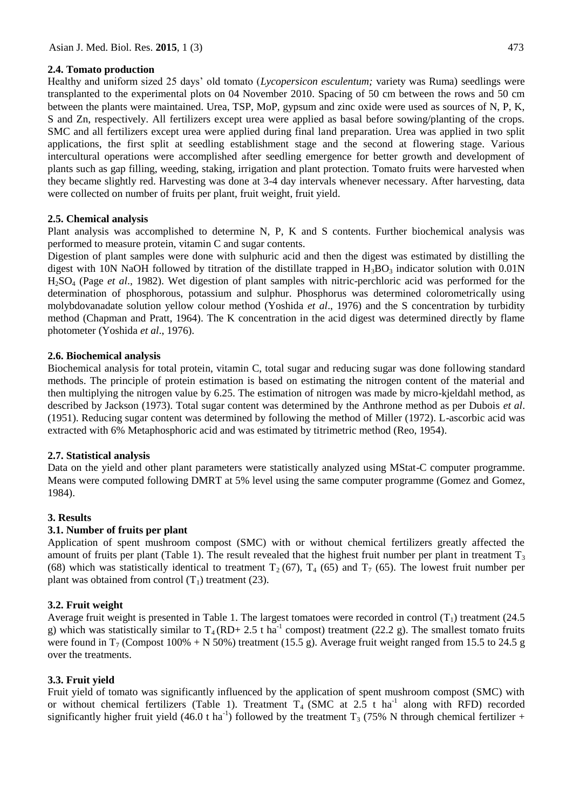## **2.4. Tomato production**

Healthy and uniform sized 25 days' old tomato (*Lycopersicon esculentum;* variety was Ruma) seedlings were transplanted to the experimental plots on 04 November 2010. Spacing of 50 cm between the rows and 50 cm between the plants were maintained. Urea, TSP, MoP, gypsum and zinc oxide were used as sources of N, P, K, S and Zn, respectively. All fertilizers except urea were applied as basal before sowing/planting of the crops. SMC and all fertilizers except urea were applied during final land preparation. Urea was applied in two split applications, the first split at seedling establishment stage and the second at flowering stage. Various intercultural operations were accomplished after seedling emergence for better growth and development of plants such as gap filling, weeding, staking, irrigation and plant protection. Tomato fruits were harvested when they became slightly red. Harvesting was done at 3-4 day intervals whenever necessary. After harvesting, data were collected on number of fruits per plant, fruit weight, fruit yield.

## **2.5. Chemical analysis**

Plant analysis was accomplished to determine N, P, K and S contents. Further biochemical analysis was performed to measure protein, vitamin C and sugar contents.

Digestion of plant samples were done with sulphuric acid and then the digest was estimated by distilling the digest with 10N NaOH followed by titration of the distillate trapped in  $H_3BO_3$  indicator solution with 0.01N H2SO<sup>4</sup> (Page *et al*., 1982). Wet digestion of plant samples with nitric-perchloric acid was performed for the determination of phosphorous, potassium and sulphur. Phosphorus was determined colorometrically using molybdovanadate solution yellow colour method (Yoshida *et al*., 1976) and the S concentration by turbidity method (Chapman and Pratt, 1964). The K concentration in the acid digest was determined directly by flame photometer (Yoshida *et al*., 1976).

## **2.6. Biochemical analysis**

Biochemical analysis for total protein, vitamin C, total sugar and reducing sugar was done following standard methods. The principle of protein estimation is based on estimating the nitrogen content of the material and then multiplying the nitrogen value by 6.25. The estimation of nitrogen was made by micro-kjeldahl method, as described by Jackson (1973). Total sugar content was determined by the Anthrone method as per Dubois *et al*. (1951). Reducing sugar content was determined by following the method of Miller (1972). L-ascorbic acid was extracted with 6% Metaphosphoric acid and was estimated by titrimetric method (Reo, 1954).

### **2.7. Statistical analysis**

Data on the yield and other plant parameters were statistically analyzed using MStat-C computer programme. Means were computed following DMRT at 5% level using the same computer programme (Gomez and Gomez, 1984).

### **3. Results**

### **3.1. Number of fruits per plant**

Application of spent mushroom compost (SMC) with or without chemical fertilizers greatly affected the amount of fruits per plant (Table 1). The result revealed that the highest fruit number per plant in treatment  $T_3$ (68) which was statistically identical to treatment  $T_2$  (67),  $T_4$  (65) and  $T_7$  (65). The lowest fruit number per plant was obtained from control  $(T_1)$  treatment (23).

# **3.2. Fruit weight**

Average fruit weight is presented in Table 1. The largest tomatoes were recorded in control  $(T_1)$  treatment (24.5) g) which was statistically similar to  $T_4 (RD + 2.5 t \text{ ha}^{-1}$  compost) treatment (22.2 g). The smallest tomato fruits were found in  $T_7$  (Compost 100% + N 50%) treatment (15.5 g). Average fruit weight ranged from 15.5 to 24.5 g over the treatments.

# **3.3. Fruit yield**

Fruit yield of tomato was significantly influenced by the application of spent mushroom compost (SMC) with or without chemical fertilizers (Table 1). Treatment  $T_4$  (SMC at 2.5 t ha<sup>-1</sup> along with RFD) recorded significantly higher fruit yield (46.0 t ha<sup>-1</sup>) followed by the treatment  $T_3$  (75% N through chemical fertilizer +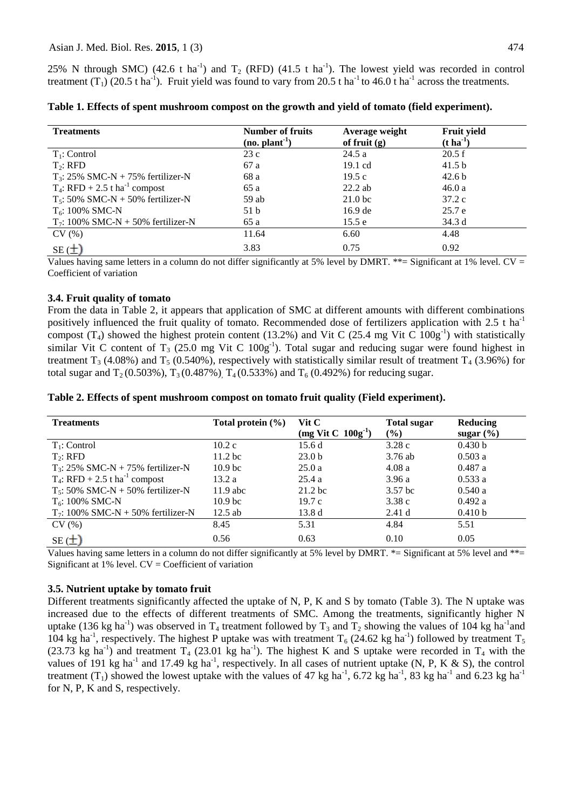25% N through SMC) (42.6 t ha<sup>-1</sup>) and  $T_2$  (RFD) (41.5 t ha<sup>-1</sup>). The lowest yield was recorded in control treatment  $(T_1)$  (20.5 t ha<sup>-1</sup>). Fruit yield was found to vary from 20.5 t ha<sup>-1</sup> to 46.0 t ha<sup>-1</sup> across the treatments.

| <b>Treatments</b>                            | <b>Number of fruits</b><br>(no. plant <sup>1</sup> ) | Average weight<br>of fruit $(g)$ | Fruit yield<br>$(t \text{ ha}^{-1})$ |
|----------------------------------------------|------------------------------------------------------|----------------------------------|--------------------------------------|
| $T_1$ : Control                              | 23c                                                  | 24.5a                            | 20.5 f                               |
| $T_2$ : RFD                                  | 67 a                                                 | $19.1 \text{ cd}$                | 41.5 <sub>b</sub>                    |
| $T_3$ : 25% SMC-N + 75% fertilizer-N         | 68 a                                                 | 19.5c                            | 42.6 <sub>b</sub>                    |
| $T_4$ : RFD + 2.5 t ha <sup>-1</sup> compost | 65 a                                                 | $22.2$ ab                        | 46.0a                                |
| $T_5$ : 50% SMC-N + 50% fertilizer-N         | $59$ ab                                              | 21.0 <sub>bc</sub>               | 37.2c                                |
| $T_6$ : 100% SMC-N                           | 51 b                                                 | 16.9 de                          | 25.7e                                |
| $T_7$ : 100% SMC-N + 50% fertilizer-N        | 65 a                                                 | 15.5 e                           | 34.3 d                               |
| CV(%)                                        | 11.64                                                | 6.60                             | 4.48                                 |
| $SE(\pm)$                                    | 3.83                                                 | 0.75                             | 0.92                                 |

**Table 1. Effects of spent mushroom compost on the growth and yield of tomato (field experiment).**

Values having same letters in a column do not differ significantly at 5% level by DMRT.  $**=$  Significant at 1% level. CV = Coefficient of variation

### **3.4. Fruit quality of tomato**

From the data in Table 2, it appears that application of SMC at different amounts with different combinations positively influenced the fruit quality of tomato. Recommended dose of fertilizers application with  $2.5$  t ha<sup>-1</sup> compost  $(T_4)$  showed the highest protein content (13.2%) and Vit C (25.4 mg Vit C  $100g^{-1}$ ) with statistically similar Vit C content of  $T_3$  (25.0 mg Vit C 100g<sup>-1</sup>). Total sugar and reducing sugar were found highest in treatment  $T_3$  (4.08%) and  $T_5$  (0.540%), respectively with statistically similar result of treatment  $T_4$  (3.96%) for total sugar and  $T_2(0.503\%)$ ,  $T_3(0.487\%)$ ,  $T_4(0.533\%)$  and  $T_6(0.492\%)$  for reducing sugar.

|  | Table 2. Effects of spent mushroom compost on tomato fruit quality (Field experiment). |  |  |
|--|----------------------------------------------------------------------------------------|--|--|
|  |                                                                                        |  |  |

| <b>Treatments</b>                            | Total protein $(\%)$ | Vit C<br>$(mg$ Vit C $100g^{-1}$ ) | <b>Total sugar</b><br>$($ %) | Reducing<br>sugar $(\% )$ |
|----------------------------------------------|----------------------|------------------------------------|------------------------------|---------------------------|
| $T_1$ : Control                              | 10.2c                | 15.6d                              | 3.28c                        | 0.430 b                   |
| $T2:$ RFD                                    | 11.2 <sub>bc</sub>   | 23.0 <sub>b</sub>                  | $3.76$ ab                    | 0.503a                    |
| $T_3$ : 25% SMC-N + 75% fertilizer-N         | 10.9 <sub>bc</sub>   | 25.0a                              | 4.08a                        | 0.487a                    |
| $T_4$ : RFD + 2.5 t ha <sup>-1</sup> compost | 13.2a                | 25.4a                              | 3.96a                        | 0.533a                    |
| $T_5$ : 50% SMC-N + 50% fertilizer-N         | $11.9$ abc           | $21.2$ bc                          | 3.57 <sub>bc</sub>           | 0.540a                    |
| $T_6$ : 100% SMC-N                           | 10.9 <sub>bc</sub>   | 19.7c                              | 3.38c                        | 0.492 a                   |
| $T_7$ : 100% SMC-N + 50% fertilizer-N        | $12.5$ ab            | 13.8d                              | 2.41d                        | 0.410 b                   |
| CV(%)                                        | 8.45                 | 5.31                               | 4.84                         | 5.51                      |
| $SE(\pm)$                                    | 0.56                 | 0.63                               | 0.10                         | 0.05                      |

Values having same letters in a column do not differ significantly at 5% level by DMRT.  $* =$  Significant at 5% level and  $** =$ Significant at  $1\%$  level.  $CV = Coefficient of variation$ 

# **3.5. Nutrient uptake by tomato fruit**

Different treatments significantly affected the uptake of N, P, K and S by tomato (Table 3). The N uptake was increased due to the effects of different treatments of SMC. Among the treatments, significantly higher N uptake (136 kg ha<sup>-1</sup>) was observed in T<sub>4</sub> treatment followed by T<sub>3</sub> and T<sub>2</sub> showing the values of 104 kg ha<sup>-1</sup> and 104 kg ha<sup>-1</sup>, respectively. The highest P uptake was with treatment T<sub>6</sub> (24.62 kg ha<sup>-1</sup>) followed by treatment T<sub>5</sub> (23.73 kg ha<sup>-1</sup>) and treatment  $T_4$  (23.01 kg ha<sup>-1</sup>). The highest K and S uptake were recorded in  $T_4$  with the values of 191 kg ha<sup>-1</sup> and 17.49 kg ha<sup>-1</sup>, respectively. In all cases of nutrient uptake (N, P, K & S), the control treatment  $(T_1)$  showed the lowest uptake with the values of 47 kg ha<sup>-1</sup>, 6.72 kg ha<sup>-1</sup>, 83 kg ha<sup>-1</sup> and 6.23 kg ha<sup>-1</sup> for N, P, K and S, respectively.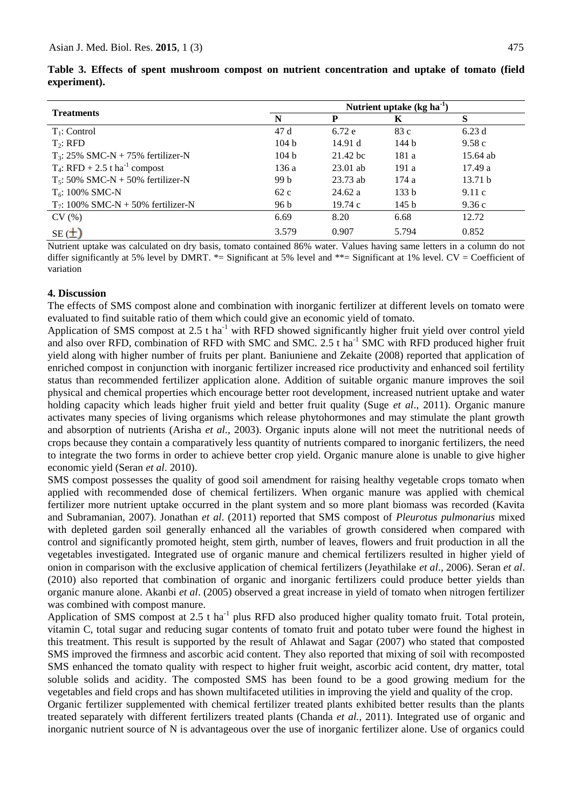| <b>Treatments</b>                            | Nutrient uptake $(\text{kg ha}^{-1})$ |            |                  |            |
|----------------------------------------------|---------------------------------------|------------|------------------|------------|
|                                              | N                                     | D          | Κ                | S          |
| $T_1$ : Control                              | 47d                                   | 6.72e      | 83c              | 6.23d      |
| $T_2$ : RFD                                  | 104 <sub>b</sub>                      | 14.91 d    | 144 b            | 9.58c      |
| $T_3$ : 25% SMC-N + 75% fertilizer-N         | 104h                                  | 21.42 bc   | 181 a            | $15.64$ ab |
| $T_4$ : RFD + 2.5 t ha <sup>-1</sup> compost | 136 a                                 | $23.01$ ab | 191 a            | 17.49a     |
| $T_5$ : 50% SMC-N + 50% fertilizer-N         | 99 b                                  | $23.73$ ab | 174 a            | 13.71 h    |
| $T_6$ : 100% SMC-N                           | 62c                                   | 24.62a     | 133 b            | 9.11c      |
| $T_7$ : 100% SMC-N + 50% fertilizer-N        | 96 b                                  | 19.74c     | 145 <sub>b</sub> | 9.36c      |
| CV(%)                                        | 6.69                                  | 8.20       | 6.68             | 12.72      |
| $SE(\pm)$                                    | 3.579                                 | 0.907      | 5.794            | 0.852      |

**Table 3. Effects of spent mushroom compost on nutrient concentration and uptake of tomato (field experiment).**

Nutrient uptake was calculated on dry basis, tomato contained 86% water. Values having same letters in a column do not differ significantly at 5% level by DMRT. \*= Significant at 5% level and \*\*= Significant at 1% level. CV = Coefficient of variation

#### **4. Discussion**

The effects of SMS compost alone and combination with inorganic fertilizer at different levels on tomato were evaluated to find suitable ratio of them which could give an economic yield of tomato.

Application of SMS compost at 2.5 t ha<sup>-1</sup> with RFD showed significantly higher fruit yield over control yield and also over RFD, combination of RFD with SMC and SMC. 2.5 t ha<sup>-1</sup> SMC with RFD produced higher fruit yield along with higher number of fruits per plant. Baniuniene and Zekaite (2008) reported that application of enriched compost in conjunction with inorganic fertilizer increased rice productivity and enhanced soil fertility status than recommended fertilizer application alone. Addition of suitable organic manure improves the soil physical and chemical properties which encourage better root development, increased nutrient uptake and water holding capacity which leads higher fruit yield and better fruit quality (Suge *et al*., 2011). Organic manure activates many species of living organisms which release phytohormones and may stimulate the plant growth and absorption of nutrients (Arisha *et al.,* 2003). Organic inputs alone will not meet the nutritional needs of crops because they contain a comparatively less quantity of nutrients compared to inorganic fertilizers, the need to integrate the two forms in order to achieve better crop yield. Organic manure alone is unable to give higher economic yield (Seran *et al*. 2010).

SMS compost possesses the quality of good soil amendment for raising healthy vegetable crops tomato when applied with recommended dose of chemical fertilizers. When organic manure was applied with chemical fertilizer more nutrient uptake occurred in the plant system and so more plant biomass was recorded (Kavita and Subramanian, 2007). Jonathan *et al*. (2011) reported that SMS compost of *Pleurotus pulmonarius* mixed with depleted garden soil generally enhanced all the variables of growth considered when compared with control and significantly promoted height, stem girth, number of leaves, flowers and fruit production in all the vegetables investigated. Integrated use of organic manure and chemical fertilizers resulted in higher yield of onion in comparison with the exclusive application of chemical fertilizers (Jeyathilake *et al*., 2006). Seran *et al*. (2010) also reported that combination of organic and inorganic fertilizers could produce better yields than organic manure alone. Akanbi *et al*. (2005) observed a great increase in yield of tomato when nitrogen fertilizer was combined with compost manure.

Application of SMS compost at 2.5 t ha<sup>-1</sup> plus RFD also produced higher quality tomato fruit. Total protein, vitamin C, total sugar and reducing sugar contents of tomato fruit and potato tuber were found the highest in this treatment. This result is supported by the result of Ahlawat and Sagar (2007) who stated that composted SMS improved the firmness and ascorbic acid content. They also reported that mixing of soil with recomposted SMS enhanced the tomato quality with respect to higher fruit weight, ascorbic acid content, dry matter, total soluble solids and acidity. The composted SMS has been found to be a good growing medium for the vegetables and field crops and has shown multifaceted utilities in improving the yield and quality of the crop.

Organic fertilizer supplemented with chemical fertilizer treated plants exhibited better results than the plants treated separately with different fertilizers treated plants (Chanda *et al.*, 2011). Integrated use of organic and inorganic nutrient source of N is advantageous over the use of inorganic fertilizer alone. Use of organics could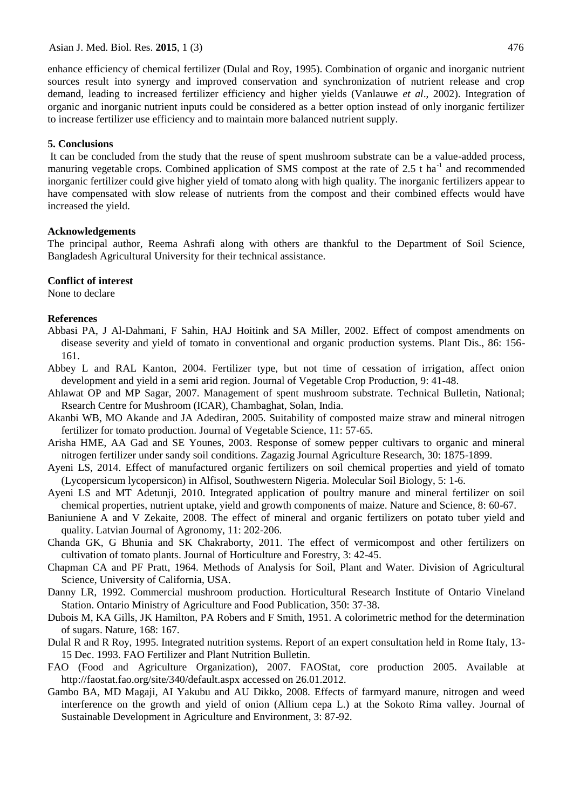Asian J. Med. Biol. Res. **2015**, 1 (3) 476

enhance efficiency of chemical fertilizer (Dulal and Roy, 1995). Combination of organic and inorganic nutrient sources result into synergy and improved conservation and synchronization of nutrient release and crop demand, leading to increased fertilizer efficiency and higher yields (Vanlauwe *et al*., 2002). Integration of organic and inorganic nutrient inputs could be considered as a better option instead of only inorganic fertilizer to increase fertilizer use efficiency and to maintain more balanced nutrient supply.

#### **5. Conclusions**

It can be concluded from the study that the reuse of spent mushroom substrate can be a value-added process, manuring vegetable crops. Combined application of SMS compost at the rate of 2.5 t ha<sup>-1</sup> and recommended inorganic fertilizer could give higher yield of tomato along with high quality. The inorganic fertilizers appear to have compensated with slow release of nutrients from the compost and their combined effects would have increased the yield.

#### **Acknowledgements**

The principal author, Reema Ashrafi along with others are thankful to the Department of Soil Science, Bangladesh Agricultural University for their technical assistance.

#### **Conflict of interest**

None to declare

#### **References**

- Abbasi PA, J Al-Dahmani, F Sahin, HAJ Hoitink and SA Miller, 2002. Effect of compost amendments on disease severity and yield of tomato in conventional and organic production systems. Plant Dis., 86: 156- 161.
- Abbey L and RAL Kanton, 2004. Fertilizer type, but not time of cessation of irrigation, affect onion development and yield in a semi arid region. Journal of Vegetable Crop Production, 9: 41-48.
- Ahlawat OP and MP Sagar, 2007. Management of spent mushroom substrate. Technical Bulletin, National; Rsearch Centre for Mushroom (ICAR), Chambaghat, Solan, India.
- Akanbi WB, MO Akande and JA Adediran, 2005. Suitability of composted maize straw and mineral nitrogen fertilizer for tomato production. Journal of Vegetable Science, 11: 57-65.
- Arisha HME, AA Gad and SE Younes, 2003. Response of somew pepper cultivars to organic and mineral nitrogen fertilizer under sandy soil conditions. Zagazig Journal Agriculture Research, 30: 1875-1899.
- Ayeni LS, 2014. Effect of manufactured organic fertilizers on soil chemical properties and yield of tomato (Lycopersicum lycopersicon) in Alfisol, Southwestern Nigeria. Molecular Soil Biology, 5: 1-6.
- Ayeni LS and MT Adetunji, 2010. Integrated application of poultry manure and mineral fertilizer on soil chemical properties, nutrient uptake, yield and growth components of maize. Nature and Science, 8: 60-67.
- Baniuniene A and V Zekaite, 2008. The effect of mineral and organic fertilizers on potato tuber yield and quality. Latvian Journal of Agronomy, 11: 202-206.
- Chanda GK, G Bhunia and SK Chakraborty, 2011. The effect of vermicompost and other fertilizers on cultivation of tomato plants. Journal of Horticulture and Forestry, 3: 42-45.
- Chapman CA and PF Pratt, 1964. Methods of Analysis for Soil, Plant and Water. Division of Agricultural Science, University of California, USA.
- Danny LR, 1992. Commercial mushroom production. Horticultural Research Institute of Ontario Vineland Station. Ontario Ministry of Agriculture and Food Publication, 350: 37-38.
- Dubois M, KA Gills, JK Hamilton, PA Robers and F Smith, 1951. A colorimetric method for the determination of sugars. Nature, 168: 167.
- Dulal R and R Roy, 1995. Integrated nutrition systems. Report of an expert consultation held in Rome Italy, 13- 15 Dec. 1993. FAO Fertilizer and Plant Nutrition Bulletin.
- FAO (Food and Agriculture Organization), 2007. FAOStat, core production 2005. Available at <http://faostat.fao.org/site/340/default.aspx> accessed on 26.01.2012.
- Gambo BA, MD Magaji, AI Yakubu and AU Dikko, 2008. Effects of farmyard manure, nitrogen and weed interference on the growth and yield of onion (Allium cepa L.) at the Sokoto Rima valley. Journal of Sustainable Development in Agriculture and Environment, 3: 87-92.